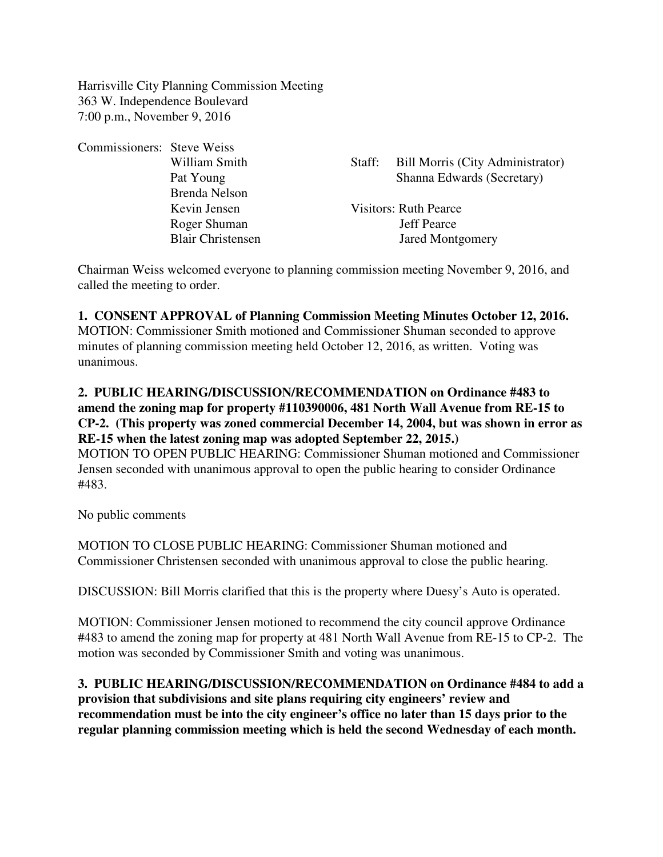Harrisville City Planning Commission Meeting 363 W. Independence Boulevard 7:00 p.m., November 9, 2016

Commissioners: Steve Weiss Brenda Nelson Kevin Jensen Visitors: Ruth Pearce Roger Shuman Jeff Pearce Blair Christensen Jared Montgomery

William Smith Staff: Bill Morris (City Administrator) Pat Young Shanna Edwards (Secretary)

Chairman Weiss welcomed everyone to planning commission meeting November 9, 2016, and called the meeting to order.

**1. CONSENT APPROVAL of Planning Commission Meeting Minutes October 12, 2016.** MOTION: Commissioner Smith motioned and Commissioner Shuman seconded to approve minutes of planning commission meeting held October 12, 2016, as written. Voting was unanimous.

## **2. PUBLIC HEARING/DISCUSSION/RECOMMENDATION on Ordinance #483 to amend the zoning map for property #110390006, 481 North Wall Avenue from RE-15 to CP-2. (This property was zoned commercial December 14, 2004, but was shown in error as RE-15 when the latest zoning map was adopted September 22, 2015.)**

MOTION TO OPEN PUBLIC HEARING: Commissioner Shuman motioned and Commissioner Jensen seconded with unanimous approval to open the public hearing to consider Ordinance #483.

No public comments

MOTION TO CLOSE PUBLIC HEARING: Commissioner Shuman motioned and Commissioner Christensen seconded with unanimous approval to close the public hearing.

DISCUSSION: Bill Morris clarified that this is the property where Duesy's Auto is operated.

MOTION: Commissioner Jensen motioned to recommend the city council approve Ordinance #483 to amend the zoning map for property at 481 North Wall Avenue from RE-15 to CP-2. The motion was seconded by Commissioner Smith and voting was unanimous.

**3. PUBLIC HEARING/DISCUSSION/RECOMMENDATION on Ordinance #484 to add a provision that subdivisions and site plans requiring city engineers' review and recommendation must be into the city engineer's office no later than 15 days prior to the regular planning commission meeting which is held the second Wednesday of each month.**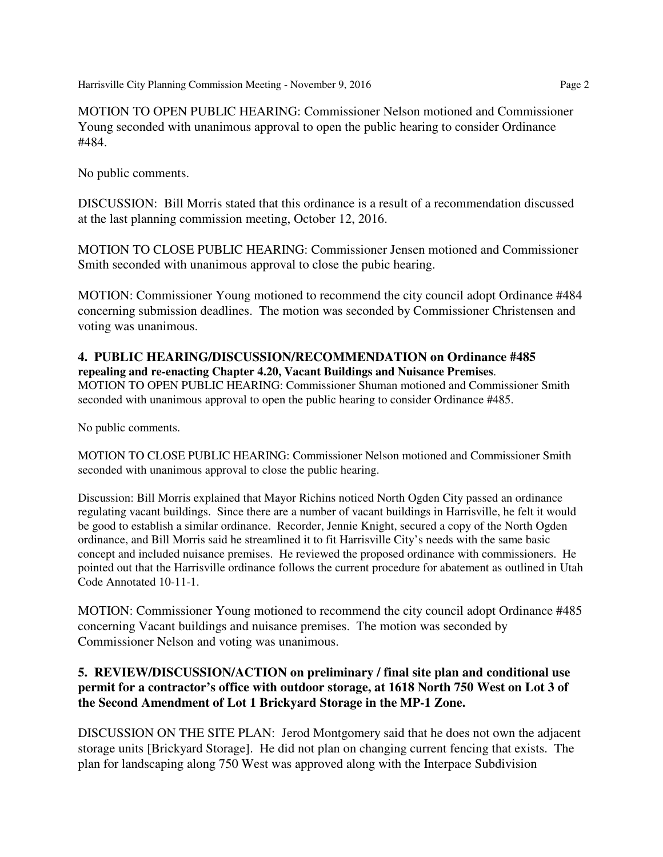Harrisville City Planning Commission Meeting - November 9, 2016 Page 2

MOTION TO OPEN PUBLIC HEARING: Commissioner Nelson motioned and Commissioner Young seconded with unanimous approval to open the public hearing to consider Ordinance #484.

No public comments.

DISCUSSION: Bill Morris stated that this ordinance is a result of a recommendation discussed at the last planning commission meeting, October 12, 2016.

MOTION TO CLOSE PUBLIC HEARING: Commissioner Jensen motioned and Commissioner Smith seconded with unanimous approval to close the pubic hearing.

MOTION: Commissioner Young motioned to recommend the city council adopt Ordinance #484 concerning submission deadlines. The motion was seconded by Commissioner Christensen and voting was unanimous.

## **4. PUBLIC HEARING/DISCUSSION/RECOMMENDATION on Ordinance #485**

**repealing and re-enacting Chapter 4.20, Vacant Buildings and Nuisance Premises**. MOTION TO OPEN PUBLIC HEARING: Commissioner Shuman motioned and Commissioner Smith seconded with unanimous approval to open the public hearing to consider Ordinance #485.

No public comments.

MOTION TO CLOSE PUBLIC HEARING: Commissioner Nelson motioned and Commissioner Smith seconded with unanimous approval to close the public hearing.

Discussion: Bill Morris explained that Mayor Richins noticed North Ogden City passed an ordinance regulating vacant buildings. Since there are a number of vacant buildings in Harrisville, he felt it would be good to establish a similar ordinance. Recorder, Jennie Knight, secured a copy of the North Ogden ordinance, and Bill Morris said he streamlined it to fit Harrisville City's needs with the same basic concept and included nuisance premises. He reviewed the proposed ordinance with commissioners. He pointed out that the Harrisville ordinance follows the current procedure for abatement as outlined in Utah Code Annotated 10-11-1.

MOTION: Commissioner Young motioned to recommend the city council adopt Ordinance #485 concerning Vacant buildings and nuisance premises. The motion was seconded by Commissioner Nelson and voting was unanimous.

## **5. REVIEW/DISCUSSION/ACTION on preliminary / final site plan and conditional use permit for a contractor's office with outdoor storage, at 1618 North 750 West on Lot 3 of the Second Amendment of Lot 1 Brickyard Storage in the MP-1 Zone.**

DISCUSSION ON THE SITE PLAN: Jerod Montgomery said that he does not own the adjacent storage units [Brickyard Storage]. He did not plan on changing current fencing that exists. The plan for landscaping along 750 West was approved along with the Interpace Subdivision